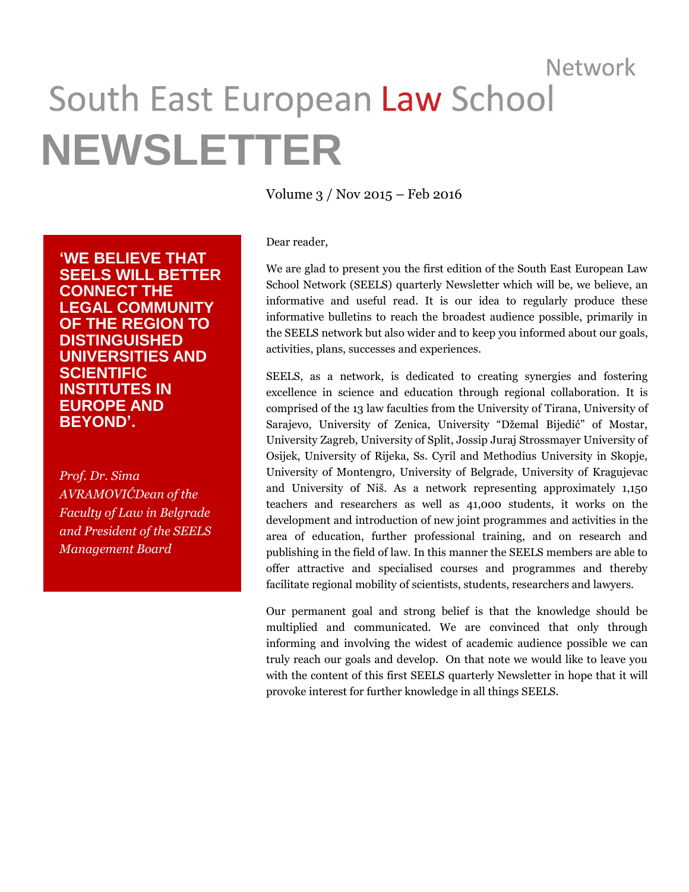# Network South East European Law School **NEWSLETTER**

**'WE BELIEVE THAT SEELS WILL BETTER CONNECT THE LEGAL COMMUNITY OF THE REGION TO DISTINGUISHED UNIVERSITIES AND SCIENTIFIC INSTITUTES IN EUROPE AND BEYOND'.**

*Prof. Dr. Sima AVRAMOVIĆDean of the Faculty of Law in Belgrade and President of the SEELS Management Board*

Volume 3 / Nov 2015 – Feb 2016

Dear reader,

We are glad to present you the first edition of the South East European Law School Network (SEELS) quarterly Newsletter which will be, we believe, an informative and useful read. It is our idea to regularly produce these informative bulletins to reach the broadest audience possible, primarily in the SEELS network but also wider and to keep you informed about our goals, activities, plans, successes and experiences.

SEELS, as a network, is dedicated to creating synergies and fostering excellence in science and education through regional collaboration. It is comprised of the 13 law faculties from the University of Tirana, University of Sarajevo, University of Zenica, University "Džemal Bijedić" of Mostar, University Zagreb, University of Split, Jossip Juraj Strossmayer University of Osijek, University of Rijeka, Ss. Cyril and Methodius University in Skopje, University of Montengro, University of Belgrade, University of Kragujevac and University of Niš. As a network representing approximately 1,150 teachers and researchers as well as 41,000 students, it works on the development and introduction of new joint programmes and activities in the area of education, further professional training, and on research and publishing in the field of law. In this manner the SEELS members are able to offer attractive and specialised courses and programmes and thereby facilitate regional mobility of scientists, students, researchers and lawyers.

Our permanent goal and strong belief is that the knowledge should be multiplied and communicated. We are convinced that only through informing and involving the widest of academic audience possible we can truly reach our goals and develop. On that note we would like to leave you with the content of this first SEELS quarterly Newsletter in hope that it will provoke interest for further knowledge in all things SEELS.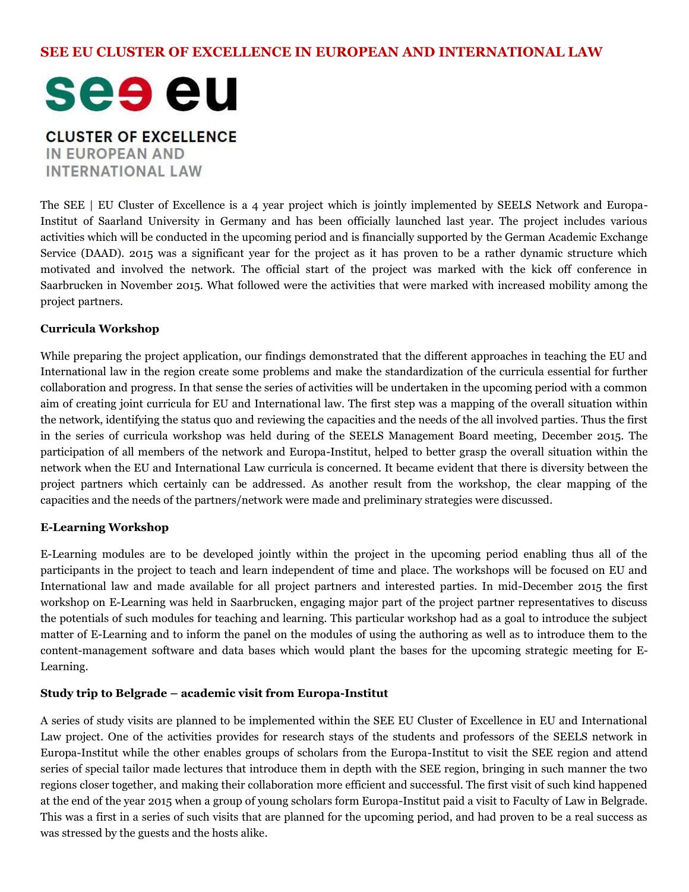## **SEE EU CLUSTER OF EXCELLENCE IN EUROPEAN AND INTERNATIONAL LAW**



**CLUSTER OF EXCELLENCE IN EUROPEAN AND INTERNATIONAL LAW** 

The SEE | EU Cluster of Excellence is a 4 year project which is jointly implemented by SEELS Network and Europa-Institut of Saarland University in Germany and has been officially launched last year. The project includes various activities which will be conducted in the upcoming period and is financially supported by the German Academic Exchange Service (DAAD). 2015 was a significant year for the project as it has proven to be a rather dynamic structure which motivated and involved the network. The official start of the project was marked with the kick off conference in Saarbrucken in November 2015. What followed were the activities that were marked with increased mobility among the project partners.

#### **Curricula Workshop**

While preparing the project application, our findings demonstrated that the different approaches in teaching the EU and International law in the region create some problems and make the standardization of the curricula essential for further collaboration and progress. In that sense the series of activities will be undertaken in the upcoming period with a common aim of creating joint curricula for EU and International law. The first step was a mapping of the overall situation within the network, identifying the status quo and reviewing the capacities and the needs of the all involved parties. Thus the first in the series of curricula workshop was held during of the SEELS Management Board meeting, December 2015. The participation of all members of the network and Europa-Institut, helped to better grasp the overall situation within the network when the EU and International Law curricula is concerned. It became evident that there is diversity between the project partners which certainly can be addressed. As another result from the workshop, the clear mapping of the capacities and the needs of the partners/network were made and preliminary strategies were discussed.

#### **E-Learning Workshop**

E-Learning modules are to be developed jointly within the project in the upcoming period enabling thus all of the participants in the project to teach and learn independent of time and place. The workshops will be focused on EU and International law and made available for all project partners and interested parties. In mid-December 2015 the first workshop on E-Learning was held in Saarbrucken, engaging major part of the project partner representatives to discuss the potentials of such modules for teaching and learning. This particular workshop had as a goal to introduce the subject matter of E-Learning and to inform the panel on the modules of using the authoring as well as to introduce them to the content-management software and data bases which would plant the bases for the upcoming strategic meeting for E-Learning.

#### **Study trip to Belgrade – academic visit from Europa-Institut**

A series of study visits are planned to be implemented within the SEE EU Cluster of Excellence in EU and International Law project. One of the activities provides for research stays of the students and professors of the SEELS network in Europa-Institut while the other enables groups of scholars from the Europa-Institut to visit the SEE region and attend series of special tailor made lectures that introduce them in depth with the SEE region, bringing in such manner the two regions closer together, and making their collaboration more efficient and successful. The first visit of such kind happened at the end of the year 2015 when a group of young scholars form Europa-Institut paid a visit to Faculty of Law in Belgrade. This was a first in a series of such visits that are planned for the upcoming period, and had proven to be a real success as was stressed by the guests and the hosts alike.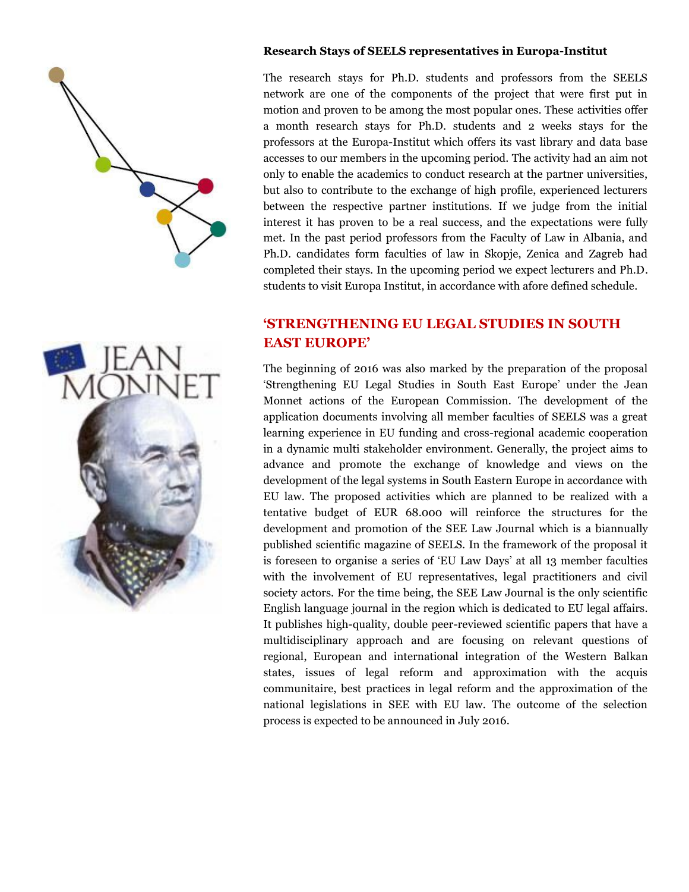



#### **Research Stays of SEELS representatives in Europa-Institut**

The research stays for Ph.D. students and professors from the SEELS network are one of the components of the project that were first put in motion and proven to be among the most popular ones. These activities offer a month research stays for Ph.D. students and 2 weeks stays for the professors at the Europa-Institut which offers its vast library and data base accesses to our members in the upcoming period. The activity had an aim not only to enable the academics to conduct research at the partner universities, but also to contribute to the exchange of high profile, experienced lecturers between the respective partner institutions. If we judge from the initial interest it has proven to be a real success, and the expectations were fully met. In the past period professors from the Faculty of Law in Albania, and Ph.D. candidates form faculties of law in Skopje, Zenica and Zagreb had completed their stays. In the upcoming period we expect lecturers and Ph.D. students to visit Europa Institut, in accordance with afore defined schedule.

# **'STRENGTHENING EU LEGAL STUDIES IN SOUTH EAST EUROPE'**

The beginning of 2016 was also marked by the preparation of the proposal 'Strengthening EU Legal Studies in South East Europe' under the Jean Monnet actions of the European Commission. The development of the application documents involving all member faculties of SEELS was a great learning experience in EU funding and cross-regional academic cooperation in a dynamic multi stakeholder environment. Generally, the project aims to advance and promote the exchange of knowledge and views on the development of the legal systems in South Eastern Europe in accordance with EU law. The proposed activities which are planned to be realized with a tentative budget of EUR 68.000 will reinforce the structures for the development and promotion of the SEE Law Journal which is a biannually published scientific magazine of SEELS. In the framework of the proposal it is foreseen to organise a series of "EU Law Days" at all 13 member faculties with the involvement of EU representatives, legal practitioners and civil society actors. For the time being, the SEE Law Journal is the only scientific English language journal in the region which is dedicated to EU legal affairs. It publishes high-quality, double peer-reviewed scientific papers that have a multidisciplinary approach and are focusing on relevant questions of regional, European and international integration of the Western Balkan states, issues of legal reform and approximation with the acquis communitaire, best practices in legal reform and the approximation of the national legislations in SEE with EU law. The outcome of the selection process is expected to be announced in July 2016.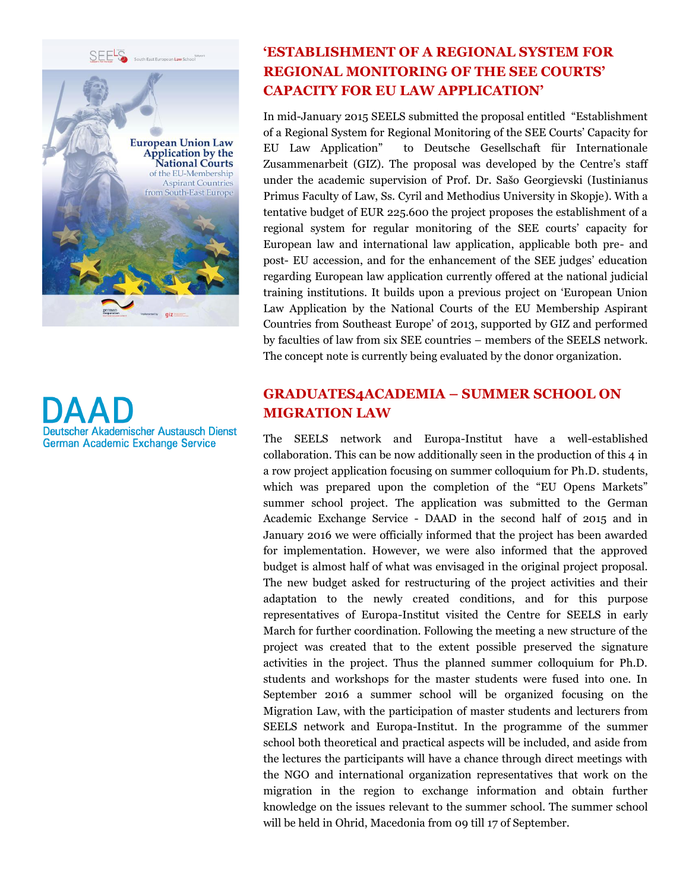SEELS



Deutscher Akademischer Austausch Dienst **German Academic Exchange Service** 

# **'ESTABLISHMENT OF A REGIONAL SYSTEM FOR REGIONAL MONITORING OF THE SEE COURTS' CAPACITY FOR EU LAW APPLICATION'**

In mid-January 2015 SEELS submitted the proposal entitled "Establishment of a Regional System for Regional Monitoring of the SEE Courts" Capacity for EU Law Application" to Deutsche Gesellschaft für Internationale Zusammenarbeit (GIZ). The proposal was developed by the Centre's staff under the academic supervision of Prof. Dr. Sašo Georgievski (Iustinianus Primus Faculty of Law, Ss. Cyril and Methodius University in Skopje). With a tentative budget of EUR 225.600 the project proposes the establishment of a regional system for regular monitoring of the SEE courts" capacity for European law and international law application, applicable both pre- and post- EU accession, and for the enhancement of the SEE judges' education regarding European law application currently offered at the national judicial training institutions. It builds upon a previous project on "European Union Law Application by the National Courts of the EU Membership Aspirant Countries from Southeast Europe" of 2013, supported by GIZ and performed by faculties of law from six SEE countries – members of the SEELS network. The concept note is currently being evaluated by the donor organization.

# **GRADUATES4ACADEMIA – SUMMER SCHOOL ON MIGRATION LAW**

The SEELS network and Europa-Institut have a well-established collaboration. This can be now additionally seen in the production of this 4 in a row project application focusing on summer colloquium for Ph.D. students, which was prepared upon the completion of the "EU Opens Markets" summer school project. The application was submitted to the German Academic Exchange Service - DAAD in the second half of 2015 and in January 2016 we were officially informed that the project has been awarded for implementation. However, we were also informed that the approved budget is almost half of what was envisaged in the original project proposal. The new budget asked for restructuring of the project activities and their adaptation to the newly created conditions, and for this purpose representatives of Europa-Institut visited the Centre for SEELS in early March for further coordination. Following the meeting a new structure of the project was created that to the extent possible preserved the signature activities in the project. Thus the planned summer colloquium for Ph.D. students and workshops for the master students were fused into one. In September 2016 a summer school will be organized focusing on the Migration Law, with the participation of master students and lecturers from SEELS network and Europa-Institut. In the programme of the summer school both theoretical and practical aspects will be included, and aside from the lectures the participants will have a chance through direct meetings with the NGO and international organization representatives that work on the migration in the region to exchange information and obtain further knowledge on the issues relevant to the summer school. The summer school will be held in Ohrid, Macedonia from 09 till 17 of September.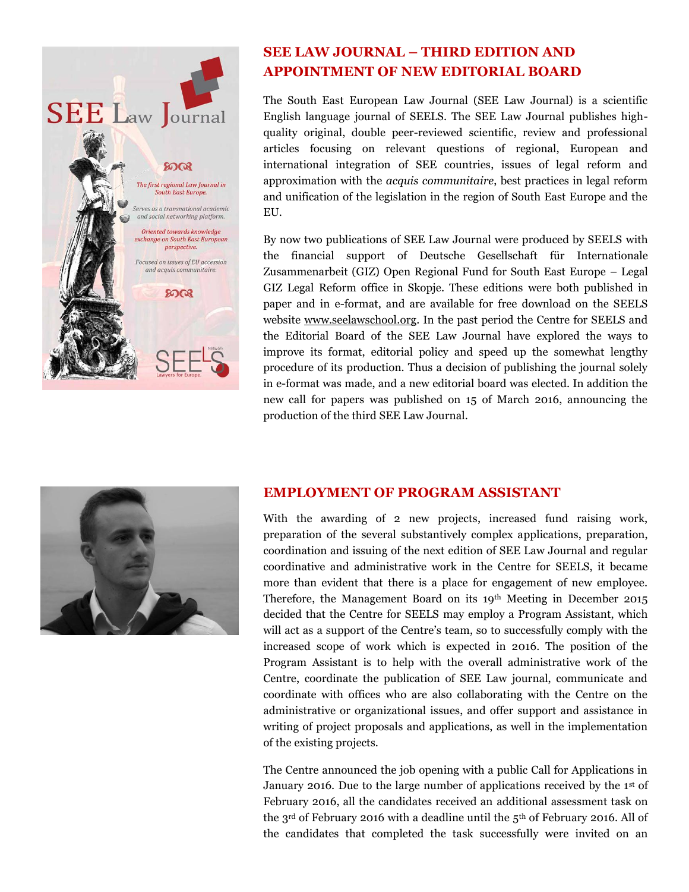

## **SEE LAW JOURNAL – THIRD EDITION AND APPOINTMENT OF NEW EDITORIAL BOARD**

The South East European Law Journal (SEE Law Journal) is a scientific English language journal of SEELS. The SEE Law Journal publishes highquality original, double peer-reviewed scientific, review and professional articles focusing on relevant questions of regional, European and international integration of SEE countries, issues of legal reform and approximation with the *acquis communitaire*, best practices in legal reform and unification of the legislation in the region of South East Europe and the EU.

By now two publications of SEE Law Journal were produced by SEELS with the financial support of Deutsche Gesellschaft für Internationale Zusammenarbeit (GIZ) Open Regional Fund for South East Europe – Legal GIZ Legal Reform office in Skopje. These editions were both published in paper and in e-format, and are available for free download on the SEELS website [www.seelawschool.org.](http://www.seelawschool.org/) In the past period the Centre for SEELS and the Editorial Board of the SEE Law Journal have explored the ways to improve its format, editorial policy and speed up the somewhat lengthy procedure of its production. Thus a decision of publishing the journal solely in e-format was made, and a new editorial board was elected. In addition the new call for papers was published on 15 of March 2016, announcing the production of the third SEE Law Journal.



### **EMPLOYMENT OF PROGRAM ASSISTANT**

With the awarding of 2 new projects, increased fund raising work, preparation of the several substantively complex applications, preparation, coordination and issuing of the next edition of SEE Law Journal and regular coordinative and administrative work in the Centre for SEELS, it became more than evident that there is a place for engagement of new employee. Therefore, the Management Board on its 19th Meeting in December 2015 decided that the Centre for SEELS may employ a Program Assistant, which will act as a support of the Centre's team, so to successfully comply with the increased scope of work which is expected in 2016. The position of the Program Assistant is to help with the overall administrative work of the Centre, coordinate the publication of SEE Law journal, communicate and coordinate with offices who are also collaborating with the Centre on the administrative or organizational issues, and offer support and assistance in writing of project proposals and applications, as well in the implementation of the existing projects.

The Centre announced the job opening with a public Call for Applications in January 2016. Due to the large number of applications received by the 1<sup>st</sup> of February 2016, all the candidates received an additional assessment task on the 3<sup>rd</sup> of February 2016 with a deadline until the 5<sup>th</sup> of February 2016. All of the candidates that completed the task successfully were invited on an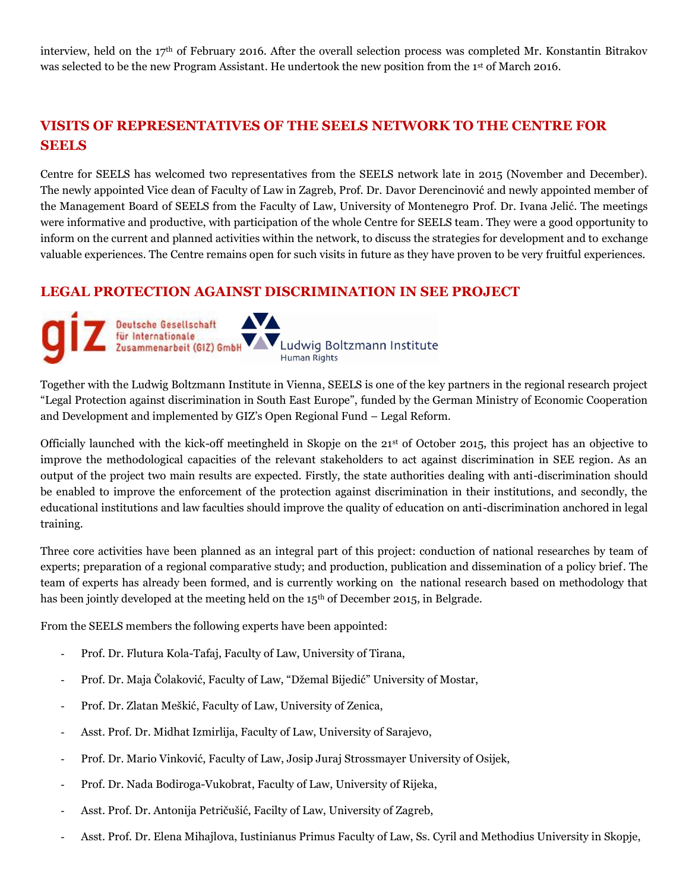interview, held on the 17th of February 2016. After the overall selection process was completed Mr. Konstantin Bitrakov was selected to be the new Program Assistant. He undertook the new position from the 1st of March 2016.

## **VISITS OF REPRESENTATIVES OF THE SEELS NETWORK TO THE CENTRE FOR SEELS**

Centre for SEELS has welcomed two representatives from the SEELS network late in 2015 (November and December). The newly appointed Vice dean of Faculty of Law in Zagreb, Prof. Dr. Davor Derencinović and newly appointed member of the Management Board of SEELS from the Faculty of Law, University of Montenegro Prof. Dr. Ivana Jelić. The meetings were informative and productive, with participation of the whole Centre for SEELS team. They were a good opportunity to inform on the current and planned activities within the network, to discuss the strategies for development and to exchange valuable experiences. The Centre remains open for such visits in future as they have proven to be very fruitful experiences.

### **LEGAL PROTECTION AGAINST DISCRIMINATION IN SEE PROJECT**



Together with the Ludwig Boltzmann Institute in Vienna, SEELS is one of the key partners in the regional research project "Legal Protection against discrimination in South East Europe", funded by the German Ministry of Economic Cooperation and Development and implemented by GIZ"s Open Regional Fund – Legal Reform.

Officially launched with the kick-off meetingheld in Skopje on the 21st of October 2015, this project has an objective to improve the methodological capacities of the relevant stakeholders to act against discrimination in SEE region. As an output of the project two main results are expected. Firstly, the state authorities dealing with anti-discrimination should be enabled to improve the enforcement of the protection against discrimination in their institutions, and secondly, the educational institutions and law faculties should improve the quality of education on anti-discrimination anchored in legal training.

Three core activities have been planned as an integral part of this project: conduction of national researches by team of experts; preparation of a regional comparative study; and production, publication and dissemination of a policy brief. The team of experts has already been formed, and is currently working on the national research based on methodology that has been jointly developed at the meeting held on the 15th of December 2015, in Belgrade.

From the SEELS members the following experts have been appointed:

- Prof. Dr. Flutura Kola-Tafaj, Faculty of Law, University of Tirana,
- Prof. Dr. Maja Čolaković, Faculty of Law, "Džemal Bijedić" University of Mostar,
- Prof. Dr. Zlatan Meškić, Faculty of Law, University of Zenica,
- Asst. Prof. Dr. Midhat Izmirlija, Faculty of Law, University of Sarajevo,
- Prof. Dr. Mario Vinković, Faculty of Law, Josip Juraj Strossmayer University of Osijek,
- Prof. Dr. Nada Bodiroga-Vukobrat, Faculty of Law, University of Rijeka,
- Asst. Prof. Dr. Antonija Petričušić, Facilty of Law, University of Zagreb,
- Asst. Prof. Dr. Elena Mihajlova, Iustinianus Primus Faculty of Law, Ss. Cyril and Methodius University in Skopje,